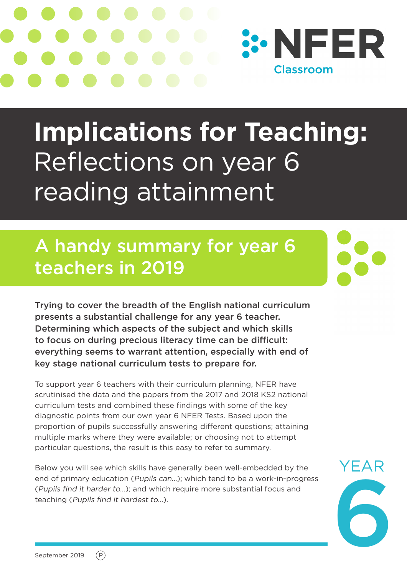

# **Implications for Teaching:**  Reflections on year 6 reading attainment

## A handy summary for year 6 teachers in 2019

Trying to cover the breadth of the English national curriculum presents a substantial challenge for any year 6 teacher. Determining which aspects of the subject and which skills to focus on during precious literacy time can be difficult: everything seems to warrant attention, especially with end of key stage national curriculum tests to prepare for.

To support year 6 teachers with their curriculum planning, NFER have scrutinised the data and the papers from the 2017 and 2018 KS2 national curriculum tests and combined these findings with some of the key diagnostic points from our own year 6 NFER Tests. Based upon the proportion of pupils successfully answering different questions; attaining multiple marks where they were available; or choosing not to attempt particular questions, the result is this easy to refer to summary.

Below you will see which skills have generally been well-embedded by the end of primary education (Pupils can…); which tend to be a work-in-progress (Pupils find it harder to…); and which require more substantial focus and teaching (Pupils find it hardest to…).